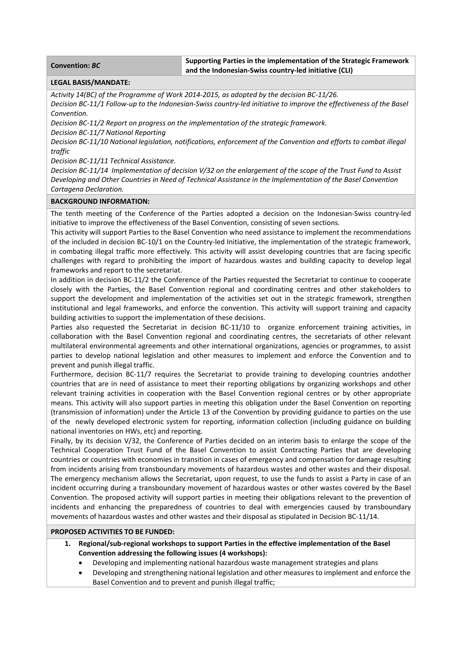**Convention:** *BC* **Supporting Parties in the implementation of the Strategic Framework and the Indonesian‐Swiss country‐led initiative (CLI)** 

## **LEGAL BASIS/MANDATE:**

*Activity 14(BC) of the Programme of Work 2014‐2015, as adopted by the decision BC‐11/26.* 

Decision BC-11/1 Follow-up to the Indonesian-Swiss country-led initiative to improve the effectiveness of the Basel *Convention.*

*Decision BC‐11/2 Report on progress on the implementation of the strategic framework.*

*Decision BC‐11/7 National Reporting*

Decision BC-11/10 National leaislation, notifications, enforcement of the Convention and efforts to combat illeaal *traffic*

*Decision BC‐11/11 Technical Assistance.*

Decision BC-11/14 Implementation of decision V/32 on the enlargement of the scope of the Trust Fund to Assist *Developing and Other Countries in Need of Technical Assistance in the Implementation of the Basel Convention Cartagena Declaration.* 

### **BACKGROUND INFORMATION:**

The tenth meeting of the Conference of the Parties adopted a decision on the Indonesian‐Swiss country‐led initiative to improve the effectiveness of the Basel Convention, consisting of seven sections.

This activity will support Parties to the Basel Convention who need assistance to implement the recommendations of the included in decision BC‐10/1 on the Country‐led Initiative, the implementation of the strategic framework, in combating illegal traffic more effectively. This activity will assist developing countries that are facing specific challenges with regard to prohibiting the import of hazardous wastes and building capacity to develop legal frameworks and report to the secretariat.

In addition in decision BC-11/2 the Conference of the Parties requested the Secretariat to continue to cooperate closely with the Parties, the Basel Convention regional and coordinating centres and other stakeholders to support the development and implementation of the activities set out in the strategic framework, strengthen institutional and legal frameworks, and enforce the convention. This activity will support training and capacity building activities to support the implementation of these decisions.

Parties also requested the Secretariat in decision BC-11/10 to organize enforcement training activities, in collaboration with the Basel Convention regional and coordinating centres, the secretariats of other relevant multilateral environmental agreements and other international organizations, agencies or programmes, to assist parties to develop national legislation and other measures to implement and enforce the Convention and to prevent and punish illegal traffic.

Furthermore, decision BC-11/7 requires the Secretariat to provide training to developing countries andother countries that are in need of assistance to meet their reporting obligations by organizing workshops and other relevant training activities in cooperation with the Basel Convention regional centres or by other appropriate means. This activity will also support parties in meeting this obligation under the Basel Convention on reporting (transmission of information) under the Article 13 of the Convention by providing guidance to parties on the use of the newly developed electronic system for reporting, information collection (including guidance on building national inventories on HWs, etc) and reporting.

Finally, by its decision V/32, the Conference of Parties decided on an interim basis to enlarge the scope of the Technical Cooperation Trust Fund of the Basel Convention to assist Contracting Parties that are developing countries or countries with economies in transition in cases of emergency and compensation for damage resulting from incidents arising from transboundary movements of hazardous wastes and other wastes and their disposal. The emergency mechanism allows the Secretariat, upon request, to use the funds to assist a Party in case of an incident occurring during a transboundary movement of hazardous wastes or other wastes covered by the Basel Convention. The proposed activity will support parties in meeting their obligations relevant to the prevention of incidents and enhancing the preparedness of countries to deal with emergencies caused by transboundary movements of hazardous wastes and other wastes and their disposal as stipulated in Decision BC‐11/14.

## **PROPOSED ACTIVITIES TO BE FUNDED:**

- **1. Regional/sub‐regional workshops to support Parties in the effective implementation of the Basel Convention addressing the following issues (4 workshops):**
	- Developing and implementing national hazardous waste management strategies and plans
	- Developing and strengthening national legislation and other measures to implement and enforce the Basel Convention and to prevent and punish illegal traffic;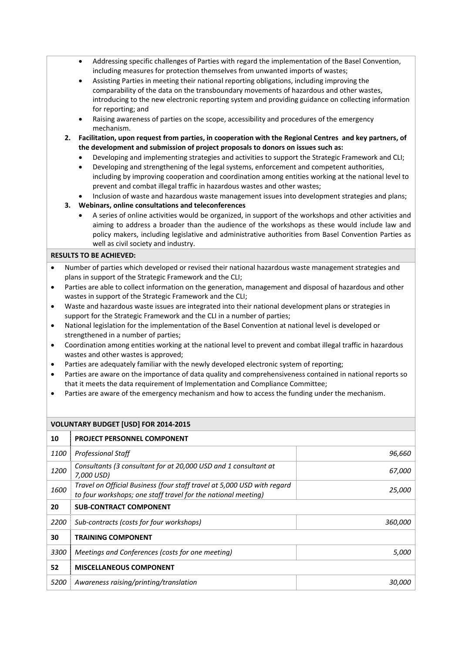- Addressing specific challenges of Parties with regard the implementation of the Basel Convention, including measures for protection themselves from unwanted imports of wastes;
- Assisting Parties in meeting their national reporting obligations, including improving the comparability of the data on the transboundary movements of hazardous and other wastes, introducing to the new electronic reporting system and providing guidance on collecting information for reporting; and
- Raising awareness of parties on the scope, accessibility and procedures of the emergency mechanism.
- 2. Facilitation, upon request from parties, in cooperation with the Regional Centres and key partners, of **the development and submission of project proposals to donors on issues such as:** 
	- Developing and implementing strategies and activities to support the Strategic Framework and CLI;
	- Developing and strengthening of the legal systems, enforcement and competent authorities, including by improving cooperation and coordination among entities working at the national level to prevent and combat illegal traffic in hazardous wastes and other wastes;
	- Inclusion of waste and hazardous waste management issues into development strategies and plans;
- **3. Webinars, online consultations and teleconferences**
	- A series of online activities would be organized, in support of the workshops and other activities and aiming to address a broader than the audience of the workshops as these would include law and policy makers, including legislative and administrative authorities from Basel Convention Parties as well as civil society and industry.

# **RESULTS TO BE ACHIEVED:**

- Number of parties which developed or revised their national hazardous waste management strategies and plans in support of the Strategic Framework and the CLI;
- Parties are able to collect information on the generation, management and disposal of hazardous and other wastes in support of the Strategic Framework and the CLI;
- Waste and hazardous waste issues are integrated into their national development plans or strategies in support for the Strategic Framework and the CLI in a number of parties;
- National legislation for the implementation of the Basel Convention at national level is developed or strengthened in a number of parties;
- Coordination among entities working at the national level to prevent and combat illegal traffic in hazardous wastes and other wastes is approved;
- Parties are adequately familiar with the newly developed electronic system of reporting;
- Parties are aware on the importance of data quality and comprehensiveness contained in national reports so that it meets the data requirement of Implementation and Compliance Committee;
- Parties are aware of the emergency mechanism and how to access the funding under the mechanism.

## **VOLUNTARY BUDGET [USD] FOR 2014‐2015**

| 10   | <b>PROJECT PERSONNEL COMPONENT</b>                                                                                                       |               |
|------|------------------------------------------------------------------------------------------------------------------------------------------|---------------|
| 1100 | <b>Professional Staff</b>                                                                                                                | 96,660        |
| 1200 | Consultants (3 consultant for at 20,000 USD and 1 consultant at<br>7,000 USD)                                                            | <i>67,000</i> |
| 1600 | Travel on Official Business (four staff travel at 5,000 USD with regard<br>to four workshops; one staff travel for the national meeting) | 25,000        |
| 20   | <b>SUB-CONTRACT COMPONENT</b>                                                                                                            |               |
| 2200 | Sub-contracts (costs for four workshops)                                                                                                 | 360,000       |
| 30   | <b>TRAINING COMPONENT</b>                                                                                                                |               |
| 3300 | Meetings and Conferences (costs for one meeting)                                                                                         | <i>5,000</i>  |
| 52   | <b>MISCELLANEOUS COMPONENT</b>                                                                                                           |               |
| 5200 | Awareness raising/printing/translation                                                                                                   | <i>30.000</i> |